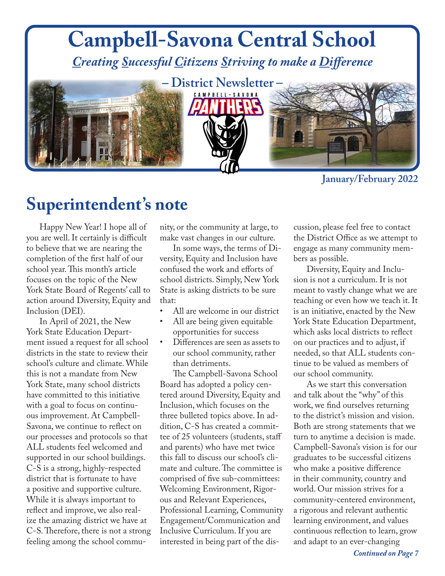

**January/February 2022**

#### **Superintendent's note**

Happy New Year! I hope all of you are well. It certainly is difficult to believe that we are nearing the completion of the first half of our school year. This month's article focuses on the topic of the New York State Board of Regents' call to action around Diversity, Equity and Inclusion (DEI).

In April of 2021, the New York State Education Department issued a request for all school districts in the state to review their school's culture and climate. While this is not a mandate from New York State, many school districts have committed to this initiative with a goal to focus on continuous improvement. At Campbell-Savona, we continue to reflect on our processes and protocols so that ALL students feel welcomed and supported in our school buildings. C-S is a strong, highly-respected district that is fortunate to have a positive and supportive culture. While it is always important to reflect and improve, we also realize the amazing district we have at C-S. Therefore, there is not a strong feeling among the school community, or the community at large, to make vast changes in our culture.

In some ways, the terms of Diversity, Equity and Inclusion have confused the work and efforts of school districts. Simply, New York State is asking districts to be sure that:

- All are welcome in our district
- All are being given equitable opportunities for success
- Differences are seen as assets to our school community, rather than detriments.

The Campbell-Savona School Board has adopted a policy centered around Diversity, Equity and Inclusion, which focuses on the three bulleted topics above. In addition, C-S has created a committee of 25 volunteers (students, staff and parents) who have met twice this fall to discuss our school's climate and culture. The committee is comprised of five sub-committees: Welcoming Environment, Rigorous and Relevant Experiences, Professional Learning, Community Engagement/Communication and Inclusive Curriculum. If you are interested in being part of the discussion, please feel free to contact the District Office as we attempt to engage as many community members as possible.

Diversity, Equity and Inclusion is not a curriculum. It is not meant to vastly change what we are teaching or even how we teach it. It is an initiative, enacted by the New York State Education Department, which asks local districts to reflect on our practices and to adjust, if needed, so that ALL students continue to be valued as members of our school community.

As we start this conversation and talk about the "why" of this work, we find ourselves returning to the district's mission and vision. Both are strong statements that we turn to anytime a decision is made. Campbell-Savona's vision is for our graduates to be successful citizens who make a positive difference in their community, country and world. Our mission strives for a community-centered environment, a rigorous and relevant authentic learning environment, and values continuous reflection to learn, grow and adapt to an ever-changing

*Continued on Page 7*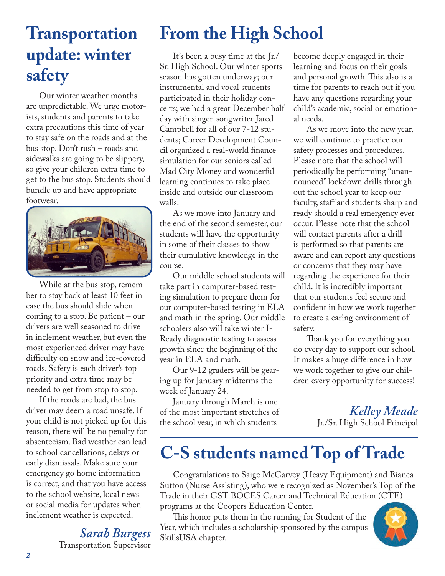#### **Transportation update: winter safety**

Our winter weather months are unpredictable. We urge motorists, students and parents to take extra precautions this time of year to stay safe on the roads and at the bus stop. Don't rush – roads and sidewalks are going to be slippery, so give your children extra time to get to the bus stop. Students should bundle up and have appropriate footwear.



While at the bus stop, remember to stay back at least 10 feet in case the bus should slide when coming to a stop. Be patient – our drivers are well seasoned to drive in inclement weather, but even the most experienced driver may have difficulty on snow and ice-covered roads. Safety is each driver's top priority and extra time may be needed to get from stop to stop.

If the roads are bad, the bus driver may deem a road unsafe. If your child is not picked up for this reason, there will be no penalty for absenteeism. Bad weather can lead to school cancellations, delays or early dismissals. Make sure your emergency go home information is correct, and that you have access to the school website, local news or social media for updates when inclement weather is expected.

> *Sarah Burgess* Transportation Supervisor

### **From the High School**

It's been a busy time at the Jr./ Sr. High School. Our winter sports season has gotten underway; our instrumental and vocal students participated in their holiday concerts; we had a great December half day with singer-songwriter Jared Campbell for all of our 7-12 students; Career Development Council organized a real-world finance simulation for our seniors called Mad City Money and wonderful learning continues to take place inside and outside our classroom walls.

As we move into January and the end of the second semester, our students will have the opportunity in some of their classes to show their cumulative knowledge in the course.

Our middle school students will take part in computer-based testing simulation to prepare them for our computer-based testing in ELA and math in the spring. Our middle schoolers also will take winter I-Ready diagnostic testing to assess growth since the beginning of the year in ELA and math.

Our 9-12 graders will be gearing up for January midterms the week of January 24.

January through March is one of the most important stretches of the school year, in which students

become deeply engaged in their learning and focus on their goals and personal growth. This also is a time for parents to reach out if you have any questions regarding your child's academic, social or emotional needs.

As we move into the new year, we will continue to practice our safety processes and procedures. Please note that the school will periodically be performing "unannounced" lockdown drills throughout the school year to keep our faculty, staff and students sharp and ready should a real emergency ever occur. Please note that the school will contact parents after a drill is performed so that parents are aware and can report any questions or concerns that they may have regarding the experience for their child. It is incredibly important that our students feel secure and confident in how we work together to create a caring environment of safety.

Thank you for everything you do every day to support our school. It makes a huge difference in how we work together to give our children every opportunity for success!

> *Kelley Meade* Jr./Sr. High School Principal

### **C-S students named Top of Trade**

Congratulations to Saige McGarvey (Heavy Equipment) and Bianca Sutton (Nurse Assisting), who were recognized as November's Top of the Trade in their GST BOCES Career and Technical Education (CTE) programs at the Coopers Education Center.

This honor puts them in the running for Student of the Year, which includes a scholarship sponsored by the campus SkillsUSA chapter.

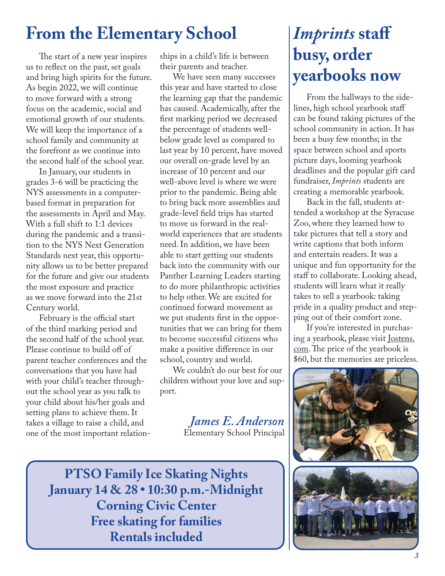#### **From the Elementary School**

The start of a new year inspires us to reflect on the past, set goals and bring high spirits for the future. As begin 2022, we will continue to move forward with a strong focus on the academic, social and emotional growth of our students. We will keep the importance of a school family and community at the forefront as we continue into the second half of the school year.

In January, our students in grades 3-6 will be practicing the NYS assessments in a computerbased format in preparation for the assessments in April and May. With a full shift to 1:1 devices during the pandemic and a transition to the NYS Next Generation Standards next year, this opportunity allows us to be better prepared for the future and give our students the most exposure and practice as we move forward into the 21st Century world.

February is the official start of the third marking period and the second half of the school year. Please continue to build off of parent teacher conferences and the conversations that you have had with your child's teacher throughout the school year as you talk to your child about his/her goals and setting plans to achieve them. It takes a village to raise a child, and one of the most important relationships in a child's life is between their parents and teacher.

We have seen many successes this year and have started to close the learning gap that the pandemic has caused. Academically, after the first marking period we decreased the percentage of students wellbelow grade level as compared to last year by 10 percent, have moved our overall on-grade level by an increase of 10 percent and our well-above level is where we were prior to the pandemic. Being able to bring back more assemblies and grade-level field trips has started to move us forward in the realworld experiences that are students need. In addition, we have been able to start getting our students back into the community with our Panther Learning Leaders starting to do more philanthropic activities to help other. We are excited for continued forward movement as we put students first in the opportunities that we can bring for them to become successful citizens who make a positive difference in our school, country and world.

We couldn't do our best for our children without your love and support.

> *James E. Anderson* Elementary School Principal

*Imprints* **staff busy, order yearbooks now**

From the hallways to the sidelines, high school yearbook staff can be found taking pictures of the school community in action. It has been a busy few months; in the space between school and sports picture days, looming yearbook deadlines and the popular gift card fundraiser, *Imprints* students are creating a memorable yearbook.

Back in the fall, students attended a workshop at the Syracuse Zoo, where they learned how to take pictures that tell a story and write captions that both inform and entertain readers. It was a unique and fun opportunity for the staff to collaborate. Looking ahead, students will learn what it really takes to sell a yearbook: taking pride in a quality product and stepping out of their comfort zone.

If you're interested in purchasing a yearbook, please visit Jostens. com. The price of the yearbook is \$60, but the memories are priceless.



**PTSO Family Ice Skating Nights January 14 & 28 • 10:30 p.m.-Midnight Corning Civic Center Free skating for families Rentals included**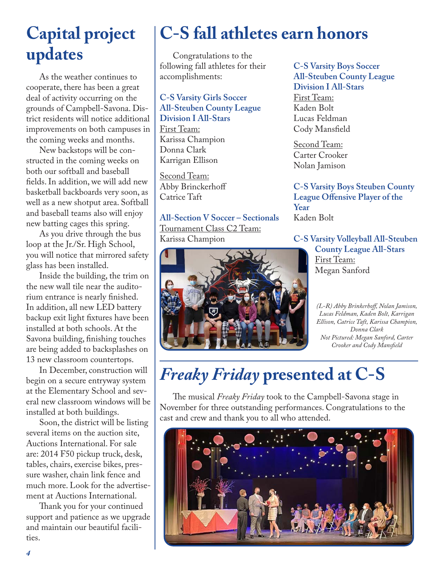# **updates**

As the weather continues to cooperate, there has been a great deal of activity occurring on the grounds of Campbell-Savona. District residents will notice additional improvements on both campuses in the coming weeks and months.

New backstops will be constructed in the coming weeks on both our softball and baseball fields. In addition, we will add new basketball backboards very soon, as well as a new shotput area. Softball and baseball teams also will enjoy new batting cages this spring.

As you drive through the bus loop at the Jr./Sr. High School, you will notice that mirrored safety glass has been installed.

Inside the building, the trim on the new wall tile near the auditorium entrance is nearly finished. In addition, all new LED battery backup exit light fixtures have been installed at both schools. At the Savona building, finishing touches are being added to backsplashes on 13 new classroom countertops.

In December, construction will begin on a secure entryway system at the Elementary School and several new classroom windows will be installed at both buildings.

Soon, the district will be listing several items on the auction site, Auctions International. For sale are: 2014 F50 pickup truck, desk, tables, chairs, exercise bikes, pressure washer, chain link fence and much more. Look for the advertisement at Auctions International.

Thank you for your continued support and patience as we upgrade and maintain our beautiful facilities.

# Capital project | C-S fall athletes earn honors

Congratulations to the following fall athletes for their accomplishments:

**C-S Varsity Girls Soccer All-Steuben County League Division I All-Stars** First Team: Karissa Champion Donna Clark Karrigan Ellison

Second Team: Abby Brinckerhoff Catrice Taft

**All-Section V Soccer – Sectionals** Tournament Class C2 Team: Karissa Champion



**C-S Varsity Boys Soccer All-Steuben County League Division I All-Stars** First Team: Kaden Bolt Lucas Feldman Cody Mansfield

Second Team: Carter Crooker Nolan Jamison

**C-S Varsity Boys Steuben County League Offensive Player of the Year** Kaden Bolt

**C-S Varsity Volleyball All-Steuben County League All-Stars** First Team: Megan Sanford

> *(L-R) Abby Brinkerhoff, Nolan Jamison, Lucas Feldman, Kaden Bolt, Karrigan Ellison, Catrice Taft, Karissa Champion, Donna Clark Not Pictured: Megan Sanford, Carter Crooker and Cody Mansfield*

# *Freaky Friday* **presented at C-S**

The musical *Freaky Friday* took to the Campbell-Savona stage in November for three outstanding performances. Congratulations to the cast and crew and thank you to all who attended.

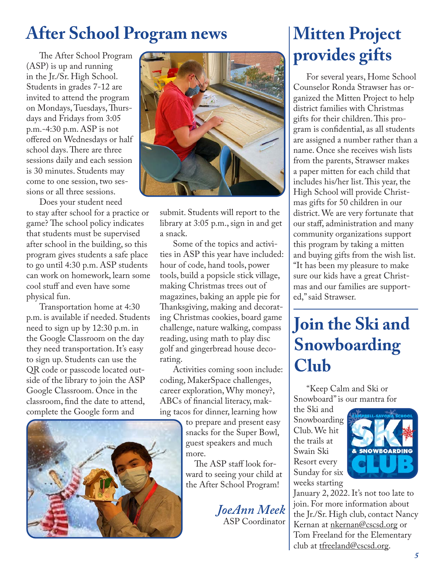#### **After School Program news**

(ASP) is up and running in the Jr./Sr. High School. Students in grades 7-12 are invited to attend the program on Mondays, Tuesdays, Thursdays and Fridays from 3:05 p.m.-4:30 p.m. ASP is not offered on Wednesdays or half school days. There are three sessions daily and each session is 30 minutes. Students may come to one session, two sessions or all three sessions.

Does your student need to stay after school for a practice or game? The school policy indicates that students must be supervised after school in the building, so this program gives students a safe place to go until 4:30 p.m. ASP students can work on homework, learn some cool stuff and even have some physical fun.

Transportation home at 4:30 p.m. is available if needed. Students need to sign up by 12:30 p.m. in the Google Classroom on the day they need transportation. It's easy to sign up. Students can use the QR code or passcode located outside of the library to join the ASP Google Classroom. Once in the classroom, find the date to attend, complete the Google form and





submit. Students will report to the library at 3:05 p.m., sign in and get a snack.

Some of the topics and activities in ASP this year have included: hour of code, hand tools, power tools, build a popsicle stick village, making Christmas trees out of magazines, baking an apple pie for Thanksgiving, making and decorating Christmas cookies, board game challenge, nature walking, compass reading, using math to play disc golf and gingerbread house decorating.

Activities coming soon include: coding, MakerSpace challenges, career exploration, Why money?, ABCs of financial literacy, making tacos for dinner, learning how

to prepare and present easy snacks for the Super Bowl, guest speakers and much more.

 The ASP staff look forward to seeing your child at the After School Program!

> *JoeAnn Meek* ASP Coordinator

# **Mitten Project**

For several years, Home School Counselor Ronda Strawser has organized the Mitten Project to help district families with Christmas gifts for their children. This program is confidential, as all students are assigned a number rather than a name. Once she receives wish lists from the parents, Strawser makes a paper mitten for each child that includes his/her list. This year, the High School will provide Christmas gifts for 50 children in our district. We are very fortunate that our staff, administration and many community organizations support this program by taking a mitten and buying gifts from the wish list. "It has been my pleasure to make sure our kids have a great Christmas and our families are supported," said Strawser.

#### **Join the Ski and Snowboarding Club**

"Keep Calm and Ski or Snowboard" is our mantra for

the Ski and Snowboarding Club. We hit the trails at Swain Ski Resort every Sunday for six weeks starting



January 2, 2022. It's not too late to join. For more information about the Jr./Sr. High club, contact Nancy Kernan at nkernan@cscsd.org or Tom Freeland for the Elementary club at tfreeland@cscsd.org.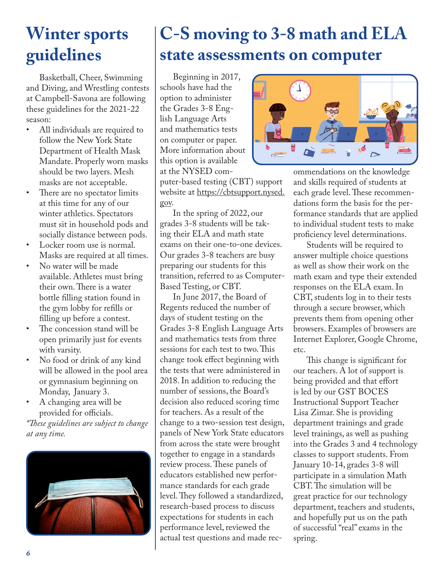#### **Winter sports guidelines**

Basketball, Cheer, Swimming and Diving, and Wrestling contests at Campbell-Savona are following these guidelines for the 2021-22 season:

- All individuals are required to follow the New York State Department of Health Mask Mandate. Properly worn masks should be two layers. Mesh masks are not acceptable.
- There are no spectator limits at this time for any of our winter athletics. Spectators must sit in household pods and socially distance between pods.
- Locker room use is normal. Masks are required at all times.
- No water will be made available. Athletes must bring their own. There is a water bottle filling station found in the gym lobby for refills or filling up before a contest.
- The concession stand will be open primarily just for events with varsity.
- No food or drink of any kind will be allowed in the pool area or gymnasium beginning on Monday, January 3.
- A changing area will be provided for officials.

*\*These guidelines are subject to change at any time.*



# **C-S moving to 3-8 math and ELA state assessments on computer**

Beginning in 2017, schools have had the option to administer the Grades 3-8 English Language Arts and mathematics tests on computer or paper. More information about this option is available at the NYSED com-

puter-based testing (CBT) support website at https://cbtsupport.nysed. gov.

In the spring of 2022, our grades 3-8 students will be taking their ELA and math state exams on their one-to-one devices. Our grades 3-8 teachers are busy preparing our students for this transition, referred to as Computer-Based Testing, or CBT.

In June 2017, the Board of Regents reduced the number of days of student testing on the Grades 3-8 English Language Arts and mathematics tests from three sessions for each test to two. This change took effect beginning with the tests that were administered in 2018. In addition to reducing the number of sessions, the Board's decision also reduced scoring time for teachers. As a result of the change to a two-session test design, panels of New York State educators from across the state were brought together to engage in a standards review process. These panels of educators established new performance standards for each grade level. They followed a standardized, research-based process to discuss expectations for students in each performance level, reviewed the actual test questions and made rec-



ommendations on the knowledge and skills required of students at each grade level. These recommendations form the basis for the performance standards that are applied to individual student tests to make proficiency level determinations.

Students will be required to answer multiple choice questions as well as show their work on the math exam and type their extended responses on the ELA exam. In CBT, students log in to their tests through a secure browser, which prevents them from opening other browsers. Examples of browsers are Internet Explorer, Google Chrome, etc.

This change is significant for our teachers. A lot of support is being provided and that effort is led by our GST BOCES Instructional Support Teacher Lisa Zimar. She is providing department trainings and grade level trainings, as well as pushing into the Grades 3 and 4 technology classes to support students. From January 10-14, grades 3-8 will participate in a simulation Math CBT. The simulation will be great practice for our technology department, teachers and students, and hopefully put us on the path of successful "real" exams in the spring.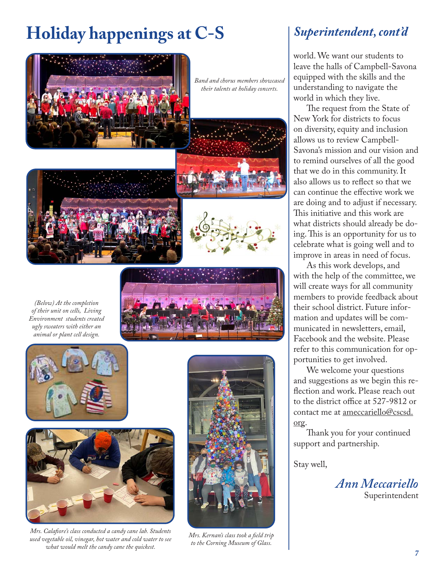# **Holiday happenings at C-S**



*Band and chorus members showcased their talents at holiday concerts.* 





*(Below) At the completion of their unit on cells, Living Environment students created ugly sweaters with either an animal or plant cell design.*





*Mrs. Calafiore's class conducted a candy cane lab. Students used vegetable oil, vinegar, hot water and cold water to see what would melt the candy cane the quickest.*



*Mrs. Kernan's class took a field trip to the Corning Museum of Glass.*

#### *Superintendent, cont'd*

world. We want our students to leave the halls of Campbell-Savona equipped with the skills and the understanding to navigate the world in which they live.

The request from the State of New York for districts to focus on diversity, equity and inclusion allows us to review Campbell-Savona's mission and our vision and to remind ourselves of all the good that we do in this community. It also allows us to reflect so that we can continue the effective work we are doing and to adjust if necessary. This initiative and this work are what districts should already be doing. This is an opportunity for us to celebrate what is going well and to improve in areas in need of focus.

As this work develops, and with the help of the committee, we will create ways for all community members to provide feedback about their school district. Future information and updates will be communicated in newsletters, email, Facebook and the website. Please refer to this communication for opportunities to get involved.

We welcome your questions and suggestions as we begin this reflection and work. Please reach out to the district office at 527-9812 or contact me at ameccariello@cscsd. org.

Thank you for your continued support and partnership.

Stay well,

*Ann Meccariello* Superintendent